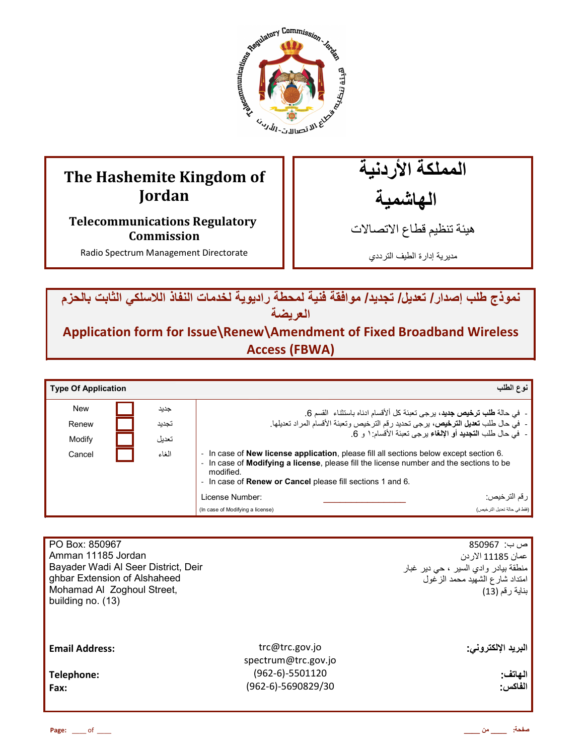

# **The Hashemite Kingdom of Jordan**

**Telecommunications Regulatory Commission** 

Radio Spectrum Management Directorate

المملكة الأردنية

الـهاشْمية

هيئة تنظيم قطاع الاتصـالات

مديرية إدارة الطيف الترددي

نموذج طلب إصدار / تعديل/ تجديد/ موافقة فنية لمحطة راديوية لخدمات النفاذ اللاسلكي الثابت بالحزم ا**لعريضة** 

**Application form for Issue\Renew\Amendment of Fixed Broadband Wireless Access (FBWA)**

| <b>Type Of Application</b>    |                                                                                                                                                                                                                                                                                      |                                                     | نوع الطلب                                                                                                                                                                                                                                               |
|-------------------------------|--------------------------------------------------------------------------------------------------------------------------------------------------------------------------------------------------------------------------------------------------------------------------------------|-----------------------------------------------------|---------------------------------------------------------------------------------------------------------------------------------------------------------------------------------------------------------------------------------------------------------|
| <b>New</b><br>Renew<br>Modify | جديد<br>تجديد<br>تعدبل                                                                                                                                                                                                                                                               |                                                     | -  في حالة <b>طلب ترخيص جديد</b> ، برجي تعبئة كل ألأقسام ادناه باستثناء  القسم 6.<br>-  في حال طلب تعديل الترخيص، برجي تحديد رقم الترخيص وتعبئة الأقسام المراد تعديلها.<br>-  في حال طلب ا <b>لتجديد</b> أو الإ <b>لغ</b> اء برجي تعبئة الأقسام: ١ و 6. |
| Cancel                        | - In case of <b>New license application</b> , please fill all sections below except section 6.<br>الغاء<br>- In case of Modifying a license, please fill the license number and the sections to be<br>modified.<br>- In case of <b>Renew or Cancel</b> please fill sections 1 and 6. |                                                     |                                                                                                                                                                                                                                                         |
|                               |                                                                                                                                                                                                                                                                                      | License Number:<br>(In case of Modifying a license) | <sub>ا</sub> رقم الترخيص:<br>(فقط في حالة تعديل الترخيص)                                                                                                                                                                                                |

| PO Box: 850967<br>Amman 11185 Jordan<br>Bayader Wadi Al Seer District, Deir<br>ghbar Extension of Alshaheed<br>Mohamad Al Zoghoul Street,<br>building no. (13) |                                                                                  | ص ب:  850967<br>عمان 11185 الاردن<br>منطقة بيادر وادي السير ، حي دير غبار<br>امتداد شارع الشهيد محمد الزغول<br>بناية رقم (13) |
|----------------------------------------------------------------------------------------------------------------------------------------------------------------|----------------------------------------------------------------------------------|-------------------------------------------------------------------------------------------------------------------------------|
| <b>Email Address:</b><br>Telephone:<br>Fax:                                                                                                                    | trc@trc.gov.jo<br>spectrum@trc.gov.jo<br>$(962-6)-5501120$<br>(962-6)-5690829/30 | البريد الإلكتروني:<br>الهاتف:<br>الفاكس:                                                                                      |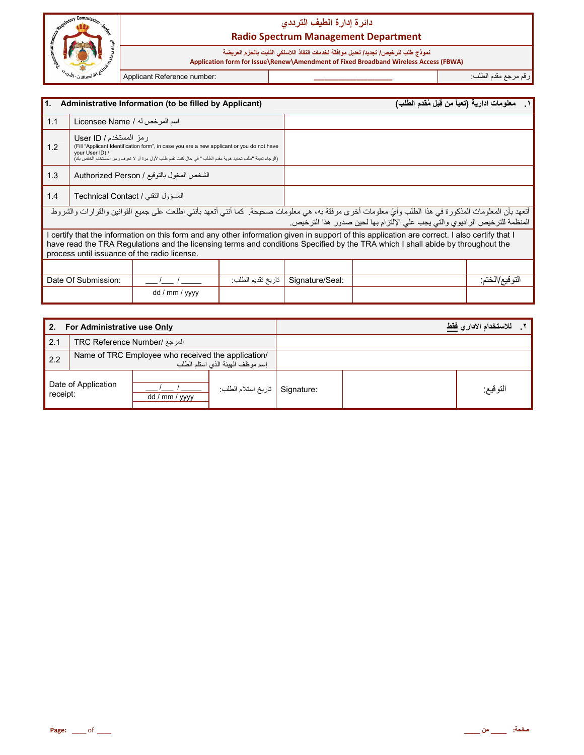

# دائرة إدارة الطيف الترددي **Radio Spectrum Management Department**

نموذج طلب لترخيص/ تجديد/ تعديل موافقة لخدمات النفاذ اللاسلكي الثابت بالحزم العريضة<br>Application form for Issue\Renew\Amendment of Fixed Broadband Wireless Access (FBWA)

Applicant Reference number:

رقم مرجع مقدم الطلب

| l1. |                                                                                                                                                                                                                                                                                                                                  | Administrative Information (to be filled by Applicant)                                                                                                                                                 |                   |                 | ١__ معلومات ادارية (تعبأ من قِبل مُقدم الطلب) |               |
|-----|----------------------------------------------------------------------------------------------------------------------------------------------------------------------------------------------------------------------------------------------------------------------------------------------------------------------------------|--------------------------------------------------------------------------------------------------------------------------------------------------------------------------------------------------------|-------------------|-----------------|-----------------------------------------------|---------------|
| 1.1 | اسم المرخص له / Licensee Name                                                                                                                                                                                                                                                                                                    |                                                                                                                                                                                                        |                   |                 |                                               |               |
| 1.2 | رمز المستخدم / User ID<br>your User ID) /                                                                                                                                                                                                                                                                                        | (Fill "Applicant Identification form", in case you are a new applicant or you do not have<br>(الرجاء تعبئة "طلب تحديد هوية مقدم الطلب " في حال كنت تقدم طلب لأول مرة أو لا تعرف رمز المستخدم الخاص بك) |                   |                 |                                               |               |
| 1.3 |                                                                                                                                                                                                                                                                                                                                  | الشخص المخول بالتوقيع / Authorized Person                                                                                                                                                              |                   |                 |                                               |               |
| 1.4 | المسؤول التقني / Technical Contact                                                                                                                                                                                                                                                                                               |                                                                                                                                                                                                        |                   |                 |                                               |               |
|     | أتعهد بأن المعلومات المذكورة في هذا الطلب وأيّ معلومات أخرى مرفقة به، هي معلومات صحيحة. كما أنني أتعهد بأنني اطلعت على جميع القوانين والقرار ات والشروط<br>المنظمة للترخيص الراديوي والتي يجب على الإلتزام بها لحين صدور هذا الترخيص.                                                                                            |                                                                                                                                                                                                        |                   |                 |                                               |               |
|     | I certify that the information on this form and any other information given in support of this application are correct. I also certify that I<br>have read the TRA Regulations and the licensing terms and conditions Specified by the TRA which I shall abide by throughout the<br>process until issuance of the radio license. |                                                                                                                                                                                                        |                   |                 |                                               |               |
|     |                                                                                                                                                                                                                                                                                                                                  |                                                                                                                                                                                                        |                   |                 |                                               |               |
|     | Date Of Submission:                                                                                                                                                                                                                                                                                                              |                                                                                                                                                                                                        | تاريخ تقديم الطلب | Signature/Seal: |                                               | التوقيع/الختم |
|     |                                                                                                                                                                                                                                                                                                                                  | dd / mm / yyyy                                                                                                                                                                                         |                   |                 |                                               |               |

| 2.       | For Administrative use Only  |                                                    |                                  |            | للاستخدام الادار يفقط |  |
|----------|------------------------------|----------------------------------------------------|----------------------------------|------------|-----------------------|--|
| 2.1      | المرجع /TRC Reference Number |                                                    |                                  |            |                       |  |
| 2.2      |                              | Name of TRC Employee who received the application/ | إسم موظف الهيئة الذى استلم الطلب |            |                       |  |
| receipt: | Date of Application          | dd / mm / yyyy                                     | تاريخ استلام الطلب:              | Signature: | التوقيع:              |  |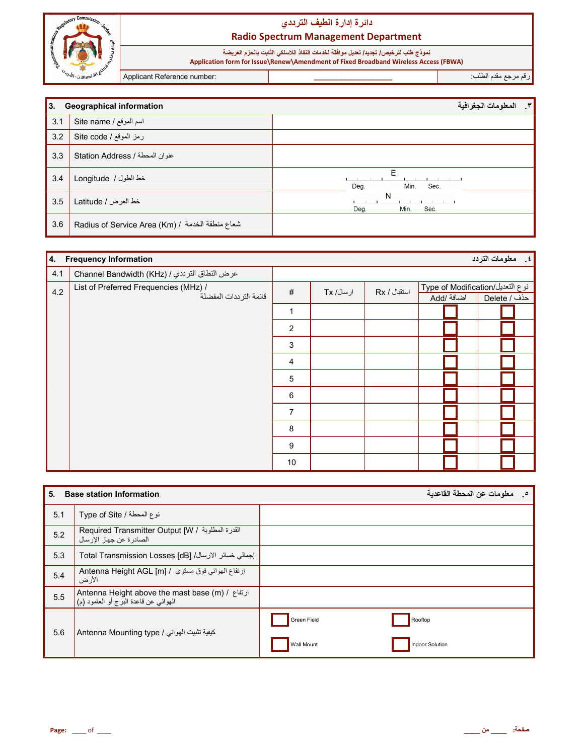

رقم مرجع مقدم الطلب:

| 3.  | <b>Geographical information</b>                   | المعلومات الجغرافية<br>$\cdot$ |
|-----|---------------------------------------------------|--------------------------------|
| 3.1 | اسم الموقع / Site name                            |                                |
| 3.2 | رمز الموقع / Site code                            |                                |
| 3.3 | عنوان المحطة / Station Address                    |                                |
| 3.4 | خط الطول / Longitude                              | E<br>Min.<br>Deg.<br>Sec.      |
| 3.5 | خط العرض / Latitude                               | N<br>Min.<br>Deg.<br>Sec.      |
| 3.6 | Radius of Service Area (Km) / شعاع منطقة الخدمة / |                                |

| 4.  | <b>Frequency Information</b>                                    |                |           |              |                                                | ٤. معلومات التردد |
|-----|-----------------------------------------------------------------|----------------|-----------|--------------|------------------------------------------------|-------------------|
| 4.1 | عرض النطاق الترددي / Channel Bandwidth (KHz)                    |                |           |              |                                                |                   |
| 4.2 | List of Preferred Frequencies (MHz) /<br>قائمة الترددات المفضلة | $\#$           | ارسال/ Tx | استقبال / Rx | نوع التعديل/Type of Modification<br>اضافة /Add | حذف / Delete      |
|     |                                                                 | $\mathbf{1}$   |           |              |                                                |                   |
|     |                                                                 | $\overline{2}$ |           |              |                                                |                   |
|     |                                                                 | 3              |           |              |                                                |                   |
|     |                                                                 | 4              |           |              |                                                |                   |
|     |                                                                 | $\sqrt{5}$     |           |              |                                                |                   |
|     |                                                                 | 6              |           |              |                                                |                   |
|     |                                                                 | $\overline{7}$ |           |              |                                                |                   |
|     |                                                                 | 8              |           |              |                                                |                   |
|     |                                                                 | 9              |           |              |                                                |                   |
|     |                                                                 | 10             |           |              |                                                |                   |

| 5.  | <b>Base station Information</b>                                                                            | معلومات عن المحطة القاعدية<br>ಿ |
|-----|------------------------------------------------------------------------------------------------------------|---------------------------------|
| 5.1 | نوع المحطة / Type of Site                                                                                  |                                 |
| 5.2 | Required Transmitter Output [W / القدرة المطلوبة / Required Transmitter Output<br>الصادر ة عن جهاز الارسال |                                 |
| 5.3 | إجمالي خسائر الارسال/ [dB] Total Transmission Losses                                                       |                                 |
| 5.4 | إرتفاع الهوائي فوق مستوى / Antenna Height AGL [m]<br>الأر ض                                                |                                 |
| 5.5 | Antenna Height above the mast base (m) / ارتفاع /<br>المهوائي عن قاعدة البرج أو العامود (م) <sup>ا</sup>   |                                 |
| 5.6 | كيفية تثبيت الهوائي / Antenna Mounting type                                                                | Green Field<br>Rooftop          |
|     |                                                                                                            | Indoor Solution<br>Wall Mount   |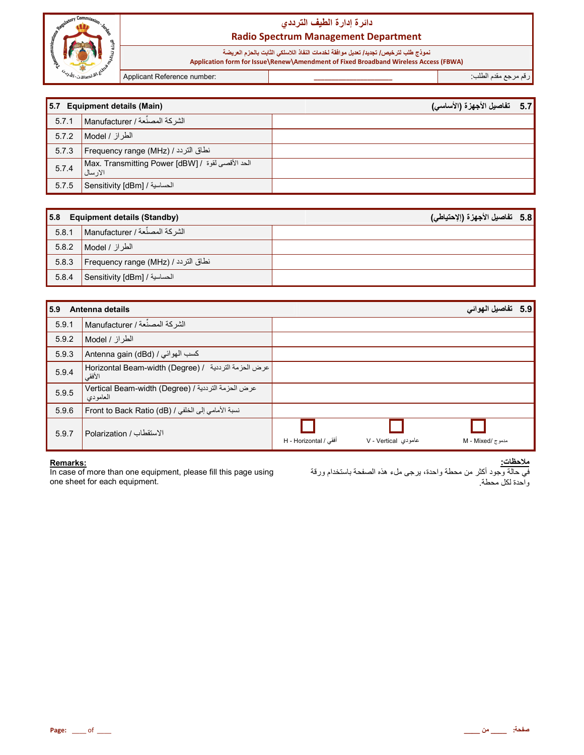

# دائرة إدارة الطيف الترددي **Radio Spectrum Management Department**

نموذج طلب لترخيص/ تجديد/ تعديل موافقة لخدمات النفاذ اللاسلكي الثابت بالحزم العريضة

Application form for Issue\Renew\Amendment of Fixed Broadband Wireless Access (FBWA)

Applicant Reference number:

رقم مرجع مقدم الطلب<del>.</del>

|       | 5.7 Equipment details (Main)                                                                | 5.7 تفاصيل الأجهزة (الأساسى) |  |
|-------|---------------------------------------------------------------------------------------------|------------------------------|--|
| 5.7.1 | الشركة المصنِّعة / Manufacturer                                                             |                              |  |
| 5.7.2 | الطراز / Model                                                                              |                              |  |
| 5.7.3 | انطاق التردد / Frequency range (MHz) /                                                      |                              |  |
| 5.7.4 | Max. Transmitting Power [dBW] / فَصَى لَقَوة / Max. Transmitting Power [dBW]<br>ا لار سال ا |                              |  |
| 5.7.5 | Sensitivity [dBm] / الحساسية /                                                              |                              |  |

|       | 5.8 Equipment details (Standby)      | 5.8   تفاصيل الأجهزة (الإحتياطي) |
|-------|--------------------------------------|----------------------------------|
| 5.8.1 | Manufacturer / الشركة / Manufacturer |                                  |
| 5.8.2 | الطراز / Model M                     |                                  |
| 5.8.3 | نطاق التردد / Frequency range (MHz)  |                                  |
| 5.8.4 | الحساسية / Sensitivity [dBm]         |                                  |

| 5.9   | Antenna details                                                 |                       |                     | 5.9   تفاصيل الهوائي |  |
|-------|-----------------------------------------------------------------|-----------------------|---------------------|----------------------|--|
| 5.9.1 | الشركة المصنِّعة / Manufacturer ا                               |                       |                     |                      |  |
| 5.9.2 | الطراز / Model                                                  |                       |                     |                      |  |
| 5.9.3 | Antenna gain (dBd) / كسب المهوائي                               |                       |                     |                      |  |
| 5.9.4 | عرض الحزمة الترددية / Horizontal Beam-width (Degree)<br>الأفقى  |                       |                     |                      |  |
| 5.9.5 | عرض الحزمة الترددية / Vertical Beam-width (Degree)<br>المعامودي |                       |                     |                      |  |
| 5.9.6 | نسبة الأمامي إلى الخلفي / Front to Back Ratio (dB)              |                       |                     |                      |  |
| 5.9.7 | الاستقطاب / Polarization                                        | أفقى / H - Horizontal | عامودی V - Vertical | مدموج /M - Mixed     |  |

Remarks:<br>In case of more than one equipment, please fill this page using one sheet for each equipment.

<u> ملاحظات:</u> .<br>في حالة وجود أكثر من محطة واحدة، يرجى ملء هذه الصفحة باستخدام ورقة وأحدة لكل محطة.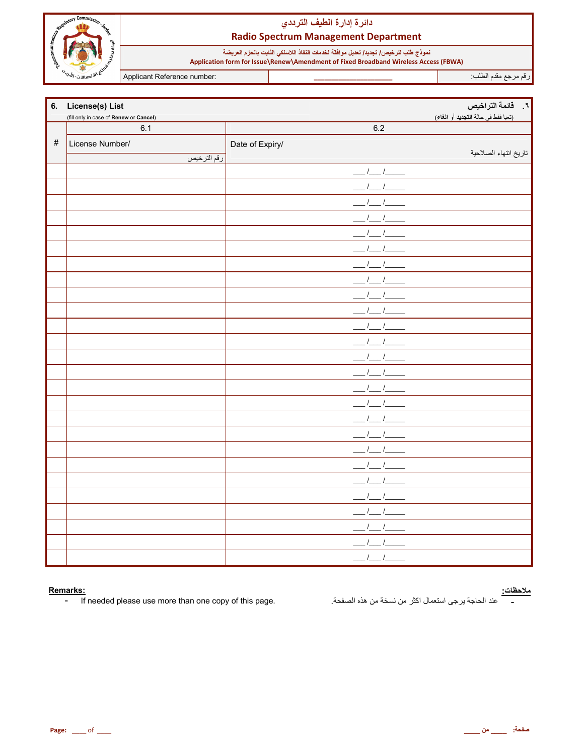

# دائرة إدارة الطيف الترددي **Radio Spectrum Management Department**

نموذج طلب لترخيص/ تجديد/ تعديل موافقة لخدمات النفاذ اللاسلكي الثابت بالحزم العريضة<br>Application form for Issue\Renew\Amendment of Fixed Broadband Wireless Access (FBWA)

Applicant Reference number:

رقم مرجع مقدم الطلب

|      | 6. License(s) List                     |                 | ٦.    قائمة التراخيص                |
|------|----------------------------------------|-----------------|-------------------------------------|
|      | (fill only in case of Renew or Cancel) |                 | (تعبأ فقط في حالة التجديد أو الغاء) |
|      | 6.1                                    | 6.2             |                                     |
| $\#$ | License Number/                        | Date of Expiry/ |                                     |
|      | رقم الترخيص                            |                 | تاريخ انتهاء الصلاحية               |
|      |                                        | $\sqrt{1}$      |                                     |
|      |                                        |                 |                                     |
|      |                                        |                 |                                     |
|      |                                        |                 |                                     |
|      |                                        |                 |                                     |
|      |                                        |                 |                                     |
|      |                                        |                 |                                     |
|      |                                        |                 |                                     |
|      |                                        |                 |                                     |
|      |                                        |                 |                                     |
|      |                                        |                 |                                     |
|      |                                        |                 |                                     |
|      |                                        |                 |                                     |
|      |                                        |                 |                                     |
|      |                                        |                 |                                     |
|      |                                        |                 |                                     |
|      |                                        |                 |                                     |
|      |                                        |                 |                                     |
|      |                                        |                 |                                     |
|      |                                        |                 |                                     |
|      |                                        |                 |                                     |
|      |                                        |                 |                                     |
|      |                                        |                 |                                     |
|      |                                        |                 |                                     |
|      |                                        |                 |                                     |
|      |                                        | $\overline{1}$  |                                     |

### Remarks:

If needed please use more than one copy of this page.  $\sim$ 

<mark>ملاحظات:</mark><br>\_\_\_\_\_\_ عند الحاجة يرجى استعمال اكثر من نسخة من هذه الصفحة<sub>.</sub>